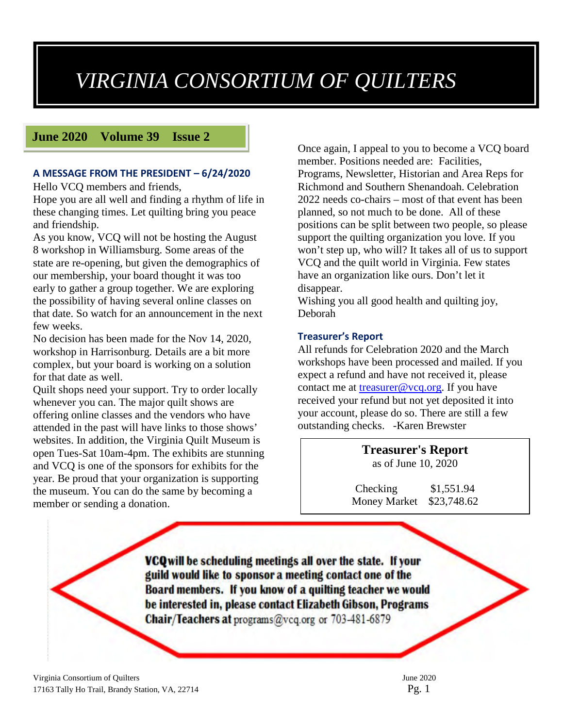## *VIRGINIA CONSORTIUM OF QUILTERS*

### **June 2020 Volume 39 Issue 2**

#### **A MESSAGE FROM THE PRESIDENT – 6/24/2020**

Hello VCQ members and friends,

Hope you are all well and finding a rhythm of life in these changing times. Let quilting bring you peace and friendship.

As you know, VCQ will not be hosting the August 8 workshop in Williamsburg. Some areas of the state are re-opening, but given the demographics of our membership, your board thought it was too early to gather a group together. We are exploring the possibility of having several online classes on that date. So watch for an announcement in the next few weeks.

No decision has been made for the Nov 14, 2020, workshop in Harrisonburg. Details are a bit more complex, but your board is working on a solution for that date as well.

Quilt shops need your support. Try to order locally whenever you can. The major quilt shows are offering online classes and the vendors who have attended in the past will have links to those shows' websites. In addition, the Virginia Quilt Museum is open Tues-Sat 10am-4pm. The exhibits are stunning and VCQ is one of the sponsors for exhibits for the year. Be proud that your organization is supporting the museum. You can do the same by becoming a member or sending a donation.

Once again, I appeal to you to become a VCQ board member. Positions needed are: Facilities, Programs, Newsletter, Historian and Area Reps for Richmond and Southern Shenandoah. Celebration 2022 needs co-chairs – most of that event has been planned, so not much to be done. All of these positions can be split between two people, so please support the quilting organization you love. If you won't step up, who will? It takes all of us to support VCQ and the quilt world in Virginia. Few states have an organization like ours. Don't let it disappear.

Wishing you all good health and quilting joy, Deborah

#### **Treasurer's Report**

All refunds for Celebration 2020 and the March workshops have been processed and mailed. If you expect a refund and have not received it, please contact me at [treasurer@vcq.org.](mailto:treasurer@vcq.org) If you have received your refund but not yet deposited it into your account, please do so. There are still a few outstanding checks. -Karen Brewster

> **Treasurer's Report** as of June 10, 2020

Checking \$1,551.94 Money Market \$23,748.62

VCQ will be scheduling meetings all over the state. If your guild would like to sponsor a meeting contact one of the Board members. If you know of a quilting teacher we would be interested in, please contact Elizabeth Gibson, Programs Chair/Teachers at programs@vcq.org or 703-481-6879

Virginia Consortium of Quilters June 2020 17163 Tally Ho Trail, Brandy Station, VA, 22714 Pg. 1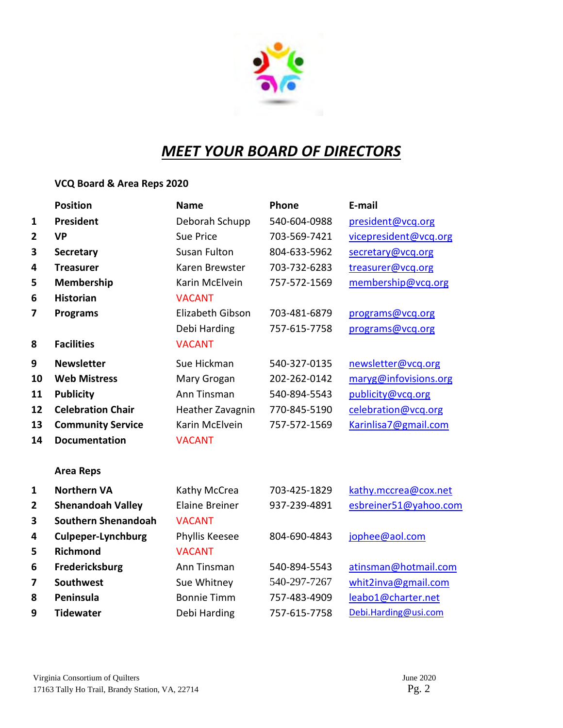

## *MEET YOUR BOARD OF DIRECTORS*

## **VCQ Board & Area Reps 2020**

|              | <b>Position</b>            | <b>Name</b>           | Phone        | E-mail                |
|--------------|----------------------------|-----------------------|--------------|-----------------------|
| $\mathbf{1}$ | <b>President</b>           | Deborah Schupp        | 540-604-0988 | president@vcq.org     |
| 2            | <b>VP</b>                  | <b>Sue Price</b>      | 703-569-7421 | vicepresident@vcq.org |
| 3            | <b>Secretary</b>           | <b>Susan Fulton</b>   | 804-633-5962 | secretary@vcq.org     |
| 4            | <b>Treasurer</b>           | Karen Brewster        | 703-732-6283 | treasurer@vcq.org     |
| 5            | Membership                 | Karin McElvein        | 757-572-1569 | membership@vcq.org    |
| 6            | <b>Historian</b>           | <b>VACANT</b>         |              |                       |
| 7            | <b>Programs</b>            | Elizabeth Gibson      | 703-481-6879 | programs@vcq.org      |
|              |                            | Debi Harding          | 757-615-7758 | programs@vcq.org      |
| 8            | <b>Facilities</b>          | <b>VACANT</b>         |              |                       |
| 9            | <b>Newsletter</b>          | Sue Hickman           | 540-327-0135 | newsletter@vcq.org    |
| 10           | <b>Web Mistress</b>        | Mary Grogan           | 202-262-0142 | maryg@infovisions.org |
| 11           | <b>Publicity</b>           | Ann Tinsman           | 540-894-5543 | publicity@vcq.org     |
| 12           | <b>Celebration Chair</b>   | Heather Zavagnin      | 770-845-5190 | celebration@vcq.org   |
| 13           | <b>Community Service</b>   | Karin McElvein        | 757-572-1569 | Karinlisa7@gmail.com  |
| 14           | <b>Documentation</b>       | <b>VACANT</b>         |              |                       |
|              | <b>Area Reps</b>           |                       |              |                       |
| $\mathbf{1}$ | <b>Northern VA</b>         | Kathy McCrea          | 703-425-1829 | kathy.mccrea@cox.net  |
| $\mathbf{2}$ | <b>Shenandoah Valley</b>   | <b>Elaine Breiner</b> | 937-239-4891 | esbreiner51@yahoo.com |
| 3            | <b>Southern Shenandoah</b> | <b>VACANT</b>         |              |                       |
| 4            | <b>Culpeper-Lynchburg</b>  | Phyllis Keesee        | 804-690-4843 | jophee@aol.com        |
| 5            | <b>Richmond</b>            | <b>VACANT</b>         |              |                       |
| 6            | Fredericksburg             | Ann Tinsman           | 540-894-5543 | atinsman@hotmail.com  |
| 7            | <b>Southwest</b>           | Sue Whitney           | 540-297-7267 | whit2inva@gmail.com   |
| 8            | Peninsula                  | <b>Bonnie Timm</b>    | 757-483-4909 | leabo1@charter.net    |
| 9            | <b>Tidewater</b>           | Debi Harding          | 757-615-7758 | Debi.Harding@usi.com  |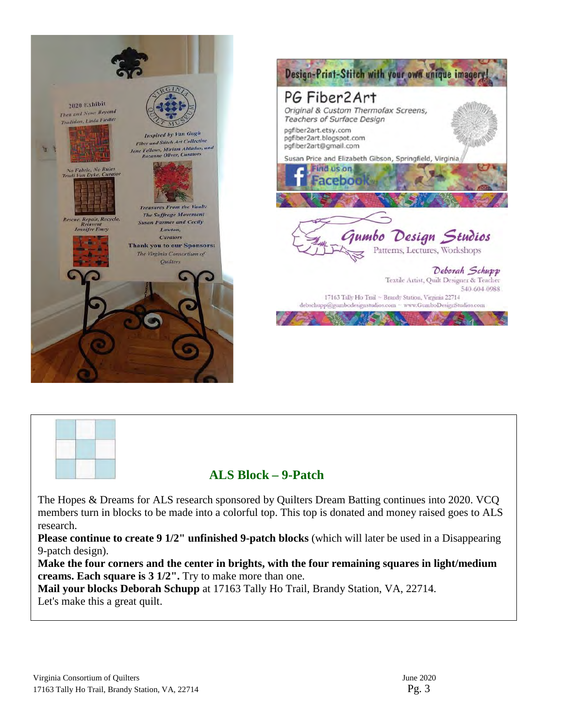



## **ALS Block – 9-Patch**

The Hopes & Dreams for ALS research sponsored by Quilters Dream Batting continues into 2020. VCQ members turn in blocks to be made into a colorful top. This top is donated and money raised goes to ALS research.

**Please continue to create 9 1/2" unfinished 9-patch blocks** (which will later be used in a Disappearing 9-patch design).

**Make the four corners and the center in brights, with the four remaining squares in light/medium creams. Each square is 3 1/2".** Try to make more than one.

**Mail your blocks Deborah Schupp** at 17163 Tally Ho Trail, Brandy Station, VA, 22714. Let's make this a great quilt.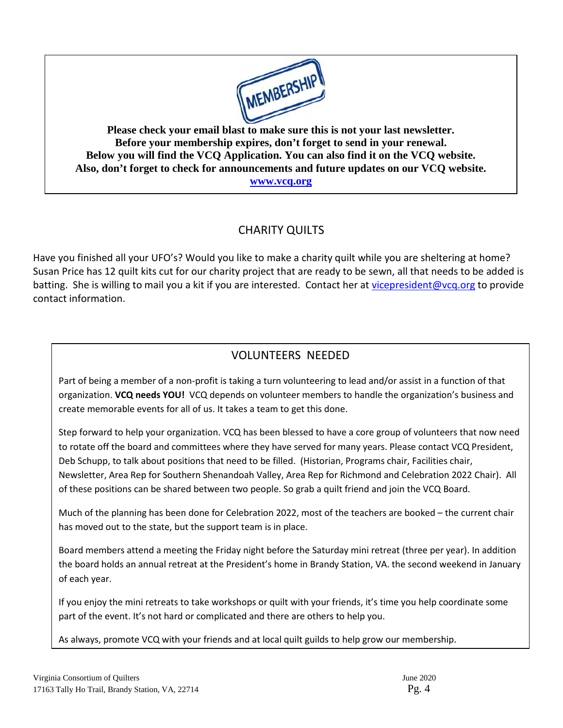

**Please check your email blast to make sure this is not your last newsletter. Before your membership expires, don't forget to send in your renewal. Below you will find the VCQ Application. You can also find it on the VCQ website. Also, don't forget to check for announcements and future updates on our VCQ website. [www.vcq.org](http://www.vcq.org/)**

## CHARITY QUILTS

Have you finished all your UFO's? Would you like to make a charity quilt while you are sheltering at home? Susan Price has 12 quilt kits cut for our charity project that are ready to be sewn, all that needs to be added is batting. She is willing to mail you a kit if you are interested. Contact her at [vicepresident@vcq.org](mailto:vicepresident@vcq.org) to provide contact information.

## VOLUNTEERS NEEDED

Part of being a member of a non-profit is taking a turn volunteering to lead and/or assist in a function of that organization. **VCQ needs YOU!** VCQ depends on volunteer members to handle the organization's business and create memorable events for all of us. It takes a team to get this done.

Step forward to help your organization. VCQ has been blessed to have a core group of volunteers that now need to rotate off the board and committees where they have served for many years. Please contact VCQ President, Deb Schupp, to talk about positions that need to be filled. (Historian, Programs chair, Facilities chair, Newsletter, Area Rep for Southern Shenandoah Valley, Area Rep for Richmond and Celebration 2022 Chair). All of these positions can be shared between two people. So grab a quilt friend and join the VCQ Board.

Much of the planning has been done for Celebration 2022, most of the teachers are booked – the current chair has moved out to the state, but the support team is in place.

Board members attend a meeting the Friday night before the Saturday mini retreat (three per year). In addition the board holds an annual retreat at the President's home in Brandy Station, VA. the second weekend in January of each year.

If you enjoy the mini retreats to take workshops or quilt with your friends, it's time you help coordinate some part of the event. It's not hard or complicated and there are others to help you.

As always, promote VCQ with your friends and at local quilt guilds to help grow our membership.